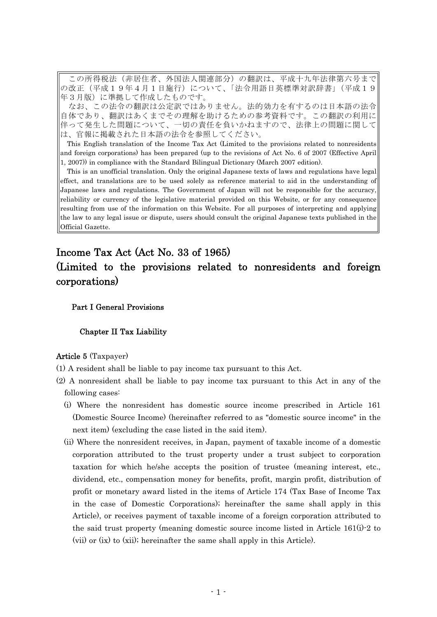この所得税法(非居住者、外国法人関連部分)の翻訳は、平成十九年法律第六号まで |の改正(平成19年4月1日施行)について、「法令用語日英標準対訳辞書」(平成19 年3月版)に準拠して作成したものです。

なお、この法令の翻訳は公定訳ではありません。法的効力を有するのは日本語の法令 自体であり、翻訳はあくまでその理解を助けるための参考資料です。この翻訳の利用に 伴って発生した問題について、一切の責任を負いかねますので、法律上の問題に関して は、官報に掲載された日本語の法令を参照してください。

This English translation of the Income Tax Act (Limited to the provisions related to nonresidents and foreign corporations) has been prepared (up to the revisions of Act No. 6 of 2007 (Effective April  $(1, 2007)$  in compliance with the Standard Bilingual Dictionary (March 2007 edition).

This is an unofficial translation. Only the original Japanese texts of laws and regulations have legal effect, and translations are to be used solely as reference material to aid in the understanding of Japanese laws and regulations. The Government of Japan will not be responsible for the accuracy, reliability or currency of the legislative material provided on this Website, or for any consequence resulting from use of the information on this Website. For all purposes of interpreting and applying the law to any legal issue or dispute, users should consult the original Japanese texts published in the Official Gazette.

# Income Tax Act (Act No. 33 of 1965)

# (Limited to the provisions related to nonresidents and foreign corporations)

# Part I General Provisions

# Chapter II Tax Liability

# Article 5 (Taxpayer)

- (1) A resident shall be liable to pay income tax pursuant to this Act.
- (2) A nonresident shall be liable to pay income tax pursuant to this Act in any of the following cases:
	- (i) Where the nonresident has domestic source income prescribed in Article 161 (Domestic Source Income) (hereinafter referred to as "domestic source income" in the next item) (excluding the case listed in the said item).
	- (ii) Where the nonresident receives, in Japan, payment of taxable income of a domestic corporation attributed to the trust property under a trust subject to corporation taxation for which he/she accepts the position of trustee (meaning interest, etc., dividend, etc., compensation money for benefits, profit, margin profit, distribution of profit or monetary award listed in the items of Article 174 (Tax Base of Income Tax in the case of Domestic Corporations); hereinafter the same shall apply in this Article), or receives payment of taxable income of a foreign corporation attributed to the said trust property (meaning domestic source income listed in Article 161(i)-2 to (vii) or (ix) to (xii); hereinafter the same shall apply in this Article).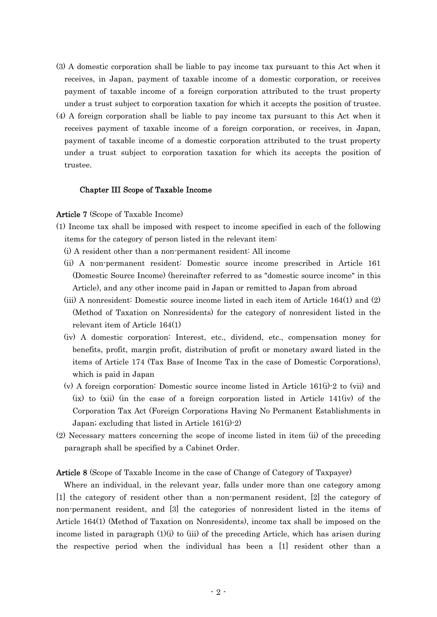- (3) A domestic corporation shall be liable to pay income tax pursuant to this Act when it receives, in Japan, payment of taxable income of a domestic corporation, or receives payment of taxable income of a foreign corporation attributed to the trust property under a trust subject to corporation taxation for which it accepts the position of trustee.
- (4) A foreign corporation shall be liable to pay income tax pursuant to this Act when it receives payment of taxable income of a foreign corporation, or receives, in Japan, payment of taxable income of a domestic corporation attributed to the trust property under a trust subject to corporation taxation for which its accepts the position of trustee.

## Chapter III Scope of Taxable Income

#### Article 7 (Scope of Taxable Income)

- (1) Income tax shall be imposed with respect to income specified in each of the following items for the category of person listed in the relevant item:
	- (i) A resident other than a non-permanent resident: All income
	- (ii) A non-permanent resident: Domestic source income prescribed in Article 161 (Domestic Source Income) (hereinafter referred to as "domestic source income" in this Article), and any other income paid in Japan or remitted to Japan from abroad
	- (iii) A nonresident: Domestic source income listed in each item of Article 164(1) and (2) (Method of Taxation on Nonresidents) for the category of nonresident listed in the relevant item of Article 164(1)
	- (iv) A domestic corporation: Interest, etc., dividend, etc., compensation money for benefits, profit, margin profit, distribution of profit or monetary award listed in the items of Article 174 (Tax Base of Income Tax in the case of Domestic Corporations), which is paid in Japan
	- (v) A foreign corporation: Domestic source income listed in Article 161(i)-2 to (vii) and (ix) to (xii) (in the case of a foreign corporation listed in Article 141(iv) of the Corporation Tax Act (Foreign Corporations Having No Permanent Establishments in Japan; excluding that listed in Article 161(i)-2)
- (2) Necessary matters concerning the scope of income listed in item (ii) of the preceding paragraph shall be specified by a Cabinet Order.

## Article 8 (Scope of Taxable Income in the case of Change of Category of Taxpayer)

Where an individual, in the relevant year, falls under more than one category among [1] the category of resident other than a non-permanent resident, [2] the category of non-permanent resident, and [3] the categories of nonresident listed in the items of Article 164(1) (Method of Taxation on Nonresidents), income tax shall be imposed on the income listed in paragraph  $(1)(i)$  to  $(iii)$  of the preceding Article, which has arisen during the respective period when the individual has been a [1] resident other than a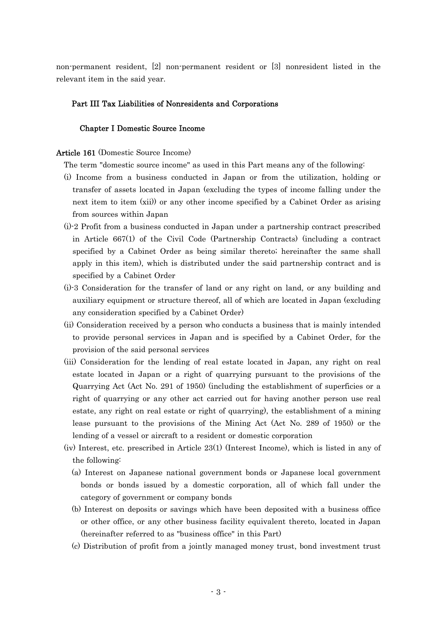non-permanent resident, [2] non-permanent resident or [3] nonresident listed in the relevant item in the said year.

# Part III Tax Liabilities of Nonresidents and Corporations

## Chapter I Domestic Source Income

# Article 161 (Domestic Source Income)

- The term "domestic source income" as used in this Part means any of the following:
- (i) Income from a business conducted in Japan or from the utilization, holding or transfer of assets located in Japan (excluding the types of income falling under the next item to item (xii)) or any other income specified by a Cabinet Order as arising from sources within Japan
- (i)-2 Profit from a business conducted in Japan under a partnership contract prescribed in Article 667(1) of the Civil Code (Partnership Contracts) (including a contract specified by a Cabinet Order as being similar thereto; hereinafter the same shall apply in this item), which is distributed under the said partnership contract and is specified by a Cabinet Order
- (i)-3 Consideration for the transfer of land or any right on land, or any building and auxiliary equipment or structure thereof, all of which are located in Japan (excluding any consideration specified by a Cabinet Order)
- (ii) Consideration received by a person who conducts a business that is mainly intended to provide personal services in Japan and is specified by a Cabinet Order, for the provision of the said personal services
- (iii) Consideration for the lending of real estate located in Japan, any right on real estate located in Japan or a right of quarrying pursuant to the provisions of the Quarrying Act (Act No. 291 of 1950) (including the establishment of superficies or a right of quarrying or any other act carried out for having another person use real estate, any right on real estate or right of quarrying), the establishment of a mining lease pursuant to the provisions of the Mining Act (Act No. 289 of 1950) or the lending of a vessel or aircraft to a resident or domestic corporation
- (iv) Interest, etc. prescribed in Article 23(1) (Interest Income), which is listed in any of the following:
	- (a) Interest on Japanese national government bonds or Japanese local government bonds or bonds issued by a domestic corporation, all of which fall under the category of government or company bonds
	- (b) Interest on deposits or savings which have been deposited with a business office or other office, or any other business facility equivalent thereto, located in Japan (hereinafter referred to as "business office" in this Part)
	- (c) Distribution of profit from a jointly managed money trust, bond investment trust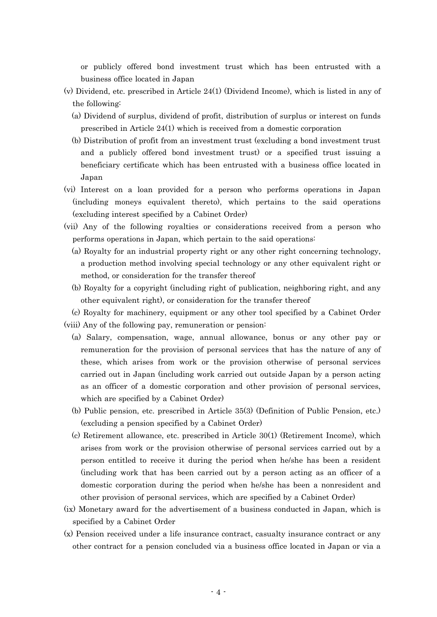or publicly offered bond investment trust which has been entrusted with a business office located in Japan

- (v) Dividend, etc. prescribed in Article 24(1) (Dividend Income), which is listed in any of the following:
	- (a) Dividend of surplus, dividend of profit, distribution of surplus or interest on funds prescribed in Article 24(1) which is received from a domestic corporation
	- (b) Distribution of profit from an investment trust (excluding a bond investment trust and a publicly offered bond investment trust) or a specified trust issuing a beneficiary certificate which has been entrusted with a business office located in Japan
- (vi) Interest on a loan provided for a person who performs operations in Japan (including moneys equivalent thereto), which pertains to the said operations (excluding interest specified by a Cabinet Order)
- (vii) Any of the following royalties or considerations received from a person who performs operations in Japan, which pertain to the said operations:
	- (a) Royalty for an industrial property right or any other right concerning technology, a production method involving special technology or any other equivalent right or method, or consideration for the transfer thereof
	- (b) Royalty for a copyright (including right of publication, neighboring right, and any other equivalent right), or consideration for the transfer thereof
	- (c) Royalty for machinery, equipment or any other tool specified by a Cabinet Order
- (viii) Any of the following pay, remuneration or pension:
	- (a) Salary, compensation, wage, annual allowance, bonus or any other pay or remuneration for the provision of personal services that has the nature of any of these, which arises from work or the provision otherwise of personal services carried out in Japan (including work carried out outside Japan by a person acting as an officer of a domestic corporation and other provision of personal services, which are specified by a Cabinet Order)
	- (b) Public pension, etc. prescribed in Article 35(3) (Definition of Public Pension, etc.) (excluding a pension specified by a Cabinet Order)
	- (c) Retirement allowance, etc. prescribed in Article 30(1) (Retirement Income), which arises from work or the provision otherwise of personal services carried out by a person entitled to receive it during the period when he/she has been a resident (including work that has been carried out by a person acting as an officer of a domestic corporation during the period when he/she has been a nonresident and other provision of personal services, which are specified by a Cabinet Order)
- (ix) Monetary award for the advertisement of a business conducted in Japan, which is specified by a Cabinet Order
- (x) Pension received under a life insurance contract, casualty insurance contract or any other contract for a pension concluded via a business office located in Japan or via a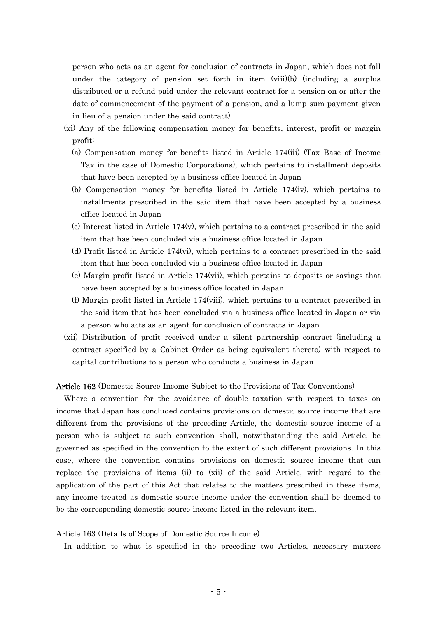person who acts as an agent for conclusion of contracts in Japan, which does not fall under the category of pension set forth in item (viii)(b) (including a surplus distributed or a refund paid under the relevant contract for a pension on or after the date of commencement of the payment of a pension, and a lump sum payment given in lieu of a pension under the said contract)

- (xi) Any of the following compensation money for benefits, interest, profit or margin profit:
	- (a) Compensation money for benefits listed in Article 174(iii) (Tax Base of Income Tax in the case of Domestic Corporations), which pertains to installment deposits that have been accepted by a business office located in Japan
	- (b) Compensation money for benefits listed in Article 174(iv), which pertains to installments prescribed in the said item that have been accepted by a business office located in Japan
	- $(c)$  Interest listed in Article 174 $(v)$ , which pertains to a contract prescribed in the said item that has been concluded via a business office located in Japan
	- (d) Profit listed in Article 174(vi), which pertains to a contract prescribed in the said item that has been concluded via a business office located in Japan
	- (e) Margin profit listed in Article 174(vii), which pertains to deposits or savings that have been accepted by a business office located in Japan
	- (f) Margin profit listed in Article 174(viii), which pertains to a contract prescribed in the said item that has been concluded via a business office located in Japan or via a person who acts as an agent for conclusion of contracts in Japan
- (xii) Distribution of profit received under a silent partnership contract (including a contract specified by a Cabinet Order as being equivalent thereto) with respect to capital contributions to a person who conducts a business in Japan

Article 162 (Domestic Source Income Subject to the Provisions of Tax Conventions)

Where a convention for the avoidance of double taxation with respect to taxes on income that Japan has concluded contains provisions on domestic source income that are different from the provisions of the preceding Article, the domestic source income of a person who is subject to such convention shall, notwithstanding the said Article, be governed as specified in the convention to the extent of such different provisions. In this case, where the convention contains provisions on domestic source income that can replace the provisions of items (ii) to (xii) of the said Article, with regard to the application of the part of this Act that relates to the matters prescribed in these items, any income treated as domestic source income under the convention shall be deemed to be the corresponding domestic source income listed in the relevant item.

## Article 163 (Details of Scope of Domestic Source Income)

In addition to what is specified in the preceding two Articles, necessary matters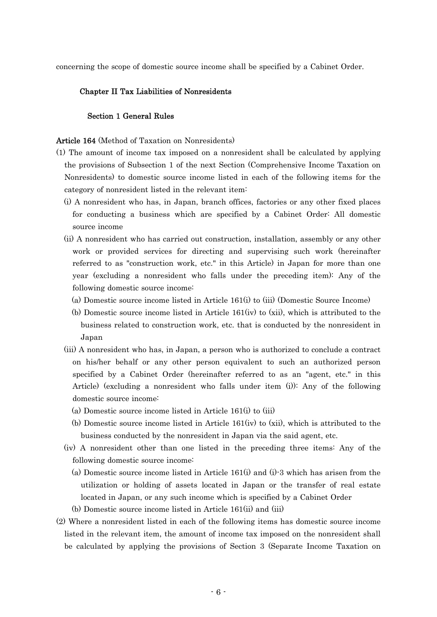concerning the scope of domestic source income shall be specified by a Cabinet Order.

## Chapter II Tax Liabilities of Nonresidents

# Section 1 General Rules

# Article 164 (Method of Taxation on Nonresidents)

- (1) The amount of income tax imposed on a nonresident shall be calculated by applying the provisions of Subsection 1 of the next Section (Comprehensive Income Taxation on Nonresidents) to domestic source income listed in each of the following items for the category of nonresident listed in the relevant item:
	- (i) A nonresident who has, in Japan, branch offices, factories or any other fixed places for conducting a business which are specified by a Cabinet Order: All domestic source income
	- (ii) A nonresident who has carried out construction, installation, assembly or any other work or provided services for directing and supervising such work (hereinafter referred to as "construction work, etc." in this Article) in Japan for more than one year (excluding a nonresident who falls under the preceding item): Any of the following domestic source income:
		- (a) Domestic source income listed in Article 161(i) to (iii) (Domestic Source Income)
		- (b) Domestic source income listed in Article 161(iv) to (xii), which is attributed to the business related to construction work, etc. that is conducted by the nonresident in Japan
	- (iii) A nonresident who has, in Japan, a person who is authorized to conclude a contract on his/her behalf or any other person equivalent to such an authorized person specified by a Cabinet Order (hereinafter referred to as an "agent, etc." in this Article) (excluding a nonresident who falls under item (i)): Any of the following domestic source income:
		- (a) Domestic source income listed in Article 161(i) to (iii)
		- (b) Domestic source income listed in Article 161(iv) to (xii), which is attributed to the business conducted by the nonresident in Japan via the said agent, etc.
	- (iv) A nonresident other than one listed in the preceding three items: Any of the following domestic source income:
		- (a) Domestic source income listed in Article 161(i) and (i)-3 which has arisen from the utilization or holding of assets located in Japan or the transfer of real estate located in Japan, or any such income which is specified by a Cabinet Order
		- (b) Domestic source income listed in Article 161(ii) and (iii)
- (2) Where a nonresident listed in each of the following items has domestic source income listed in the relevant item, the amount of income tax imposed on the nonresident shall be calculated by applying the provisions of Section 3 (Separate Income Taxation on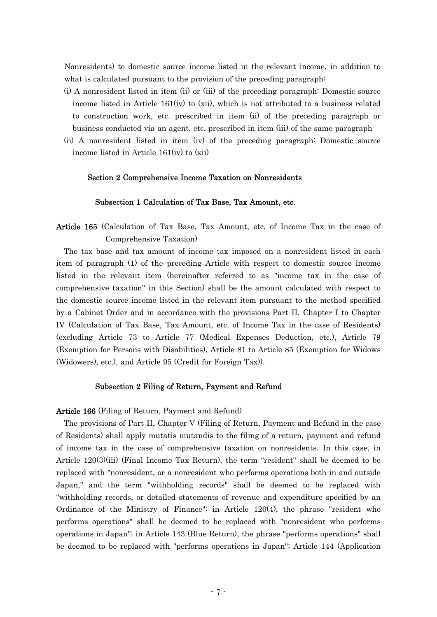Nonresidents) to domestic source income listed in the relevant income, in addition to what is calculated pursuant to the provision of the preceding paragraph:

- (i) A nonresident listed in item (ii) or (iii) of the preceding paragraph: Domestic source income listed in Article 161(iv) to (xii), which is not attributed to a business related to construction work, etc. prescribed in item (ii) of the preceding paragraph or business conducted via an agent, etc. prescribed in item (iii) of the same paragraph
- (ii) A nonresident listed in item (iv) of the preceding paragraph: Domestic source income listed in Article 161(iv) to (xii)

## Section 2 Comprehensive Income Taxation on Nonresidents

#### Subsection 1 Calculation of Tax Base, Tax Amount, etc.

Article 165 (Calculation of Tax Base, Tax Amount, etc. of Income Tax in the case of Comprehensive Taxation)

The tax base and tax amount of income tax imposed on a nonresident listed in each item of paragraph (1) of the preceding Article with respect to domestic source income listed in the relevant item (hereinafter referred to as "income tax in the case of comprehensive taxation" in this Section) shall be the amount calculated with respect to the domestic source income listed in the relevant item pursuant to the method specified by a Cabinet Order and in accordance with the provisions Part II, Chapter I to Chapter IV (Calculation of Tax Base, Tax Amount, etc. of Income Tax in the case of Residents) (excluding Article 73 to Article 77 (Medical Expenses Deduction, etc.), Article 79 (Exemption for Persons with Disabilities), Article 81 to Article 85 (Exemption for Widows (Widowers), etc.), and Article 95 (Credit for Foreign Tax)).

#### Subsection 2 Filing of Return, Payment and Refund

#### Article 166 (Filing of Return, Payment and Refund)

The provisions of Part II, Chapter V (Filing of Return, Payment and Refund in the case of Residents) shall apply mutatis mutandis to the filing of a return, payment and refund of income tax in the case of comprehensive taxation on nonresidents. In this case, in Article 120(3)(iii) (Final Income Tax Return), the term "resident" shall be deemed to be replaced with "nonresident, or a nonresident who performs operations both in and outside Japan," and the term "withholding records" shall be deemed to be replaced with "withholding records, or detailed statements of revenue and expenditure specified by an Ordinance of the Ministry of Finance"; in Article 120(4), the phrase "resident who performs operations" shall be deemed to be replaced with "nonresident who performs operations in Japan"; in Article 143 (Blue Return), the phrase "performs operations" shall be deemed to be replaced with "performs operations in Japan"; Article 144 (Application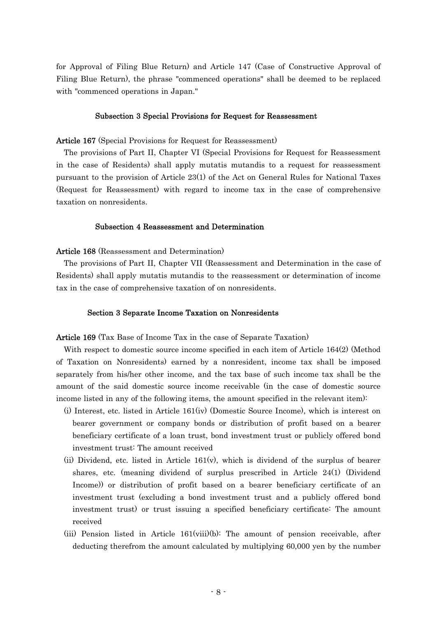for Approval of Filing Blue Return) and Article 147 (Case of Constructive Approval of Filing Blue Return), the phrase "commenced operations" shall be deemed to be replaced with "commenced operations in Japan."

# Subsection 3 Special Provisions for Request for Reassessment

#### Article 167 (Special Provisions for Request for Reassessment)

The provisions of Part II, Chapter VI (Special Provisions for Request for Reassessment in the case of Residents) shall apply mutatis mutandis to a request for reassessment pursuant to the provision of Article 23(1) of the Act on General Rules for National Taxes (Request for Reassessment) with regard to income tax in the case of comprehensive taxation on nonresidents.

## Subsection 4 Reassessment and Determination

## Article 168 (Reassessment and Determination)

The provisions of Part II, Chapter VII (Reassessment and Determination in the case of Residents) shall apply mutatis mutandis to the reassessment or determination of income tax in the case of comprehensive taxation of on nonresidents.

## Section 3 Separate Income Taxation on Nonresidents

Article 169 (Tax Base of Income Tax in the case of Separate Taxation)

With respect to domestic source income specified in each item of Article 164(2) (Method of Taxation on Nonresidents) earned by a nonresident, income tax shall be imposed separately from his/her other income, and the tax base of such income tax shall be the amount of the said domestic source income receivable (in the case of domestic source income listed in any of the following items, the amount specified in the relevant item):

- (i) Interest, etc. listed in Article 161(iv) (Domestic Source Income), which is interest on bearer government or company bonds or distribution of profit based on a bearer beneficiary certificate of a loan trust, bond investment trust or publicly offered bond investment trust: The amount received
- (ii) Dividend, etc. listed in Article 161(v), which is dividend of the surplus of bearer shares, etc. (meaning dividend of surplus prescribed in Article 24(1) (Dividend Income)) or distribution of profit based on a bearer beneficiary certificate of an investment trust (excluding a bond investment trust and a publicly offered bond investment trust) or trust issuing a specified beneficiary certificate: The amount received
- (iii) Pension listed in Article 161(viii)(b): The amount of pension receivable, after deducting therefrom the amount calculated by multiplying 60,000 yen by the number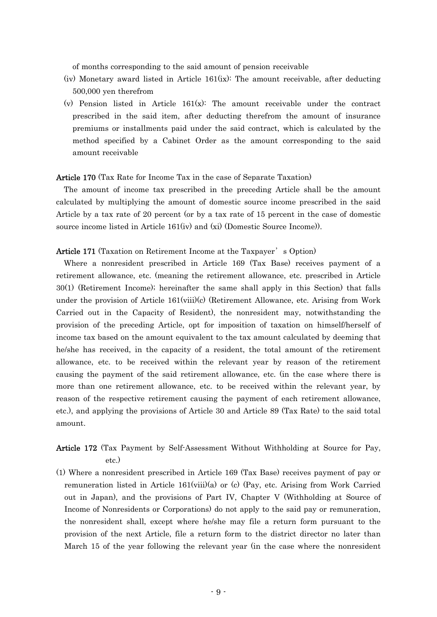of months corresponding to the said amount of pension receivable

- (iv) Monetary award listed in Article 161(ix): The amount receivable, after deducting 500,000 yen therefrom
- (v) Pension listed in Article  $161(x)$ : The amount receivable under the contract prescribed in the said item, after deducting therefrom the amount of insurance premiums or installments paid under the said contract, which is calculated by the method specified by a Cabinet Order as the amount corresponding to the said amount receivable

## Article 170 (Tax Rate for Income Tax in the case of Separate Taxation)

The amount of income tax prescribed in the preceding Article shall be the amount calculated by multiplying the amount of domestic source income prescribed in the said Article by a tax rate of 20 percent (or by a tax rate of 15 percent in the case of domestic source income listed in Article 161(iv) and (xi) (Domestic Source Income)).

## Article 171 (Taxation on Retirement Income at the Taxpayer' s Option)

Where a nonresident prescribed in Article 169 (Tax Base) receives payment of a retirement allowance, etc. (meaning the retirement allowance, etc. prescribed in Article 30(1) (Retirement Income); hereinafter the same shall apply in this Section) that falls under the provision of Article 161(viii)(c) (Retirement Allowance, etc. Arising from Work Carried out in the Capacity of Resident), the nonresident may, notwithstanding the provision of the preceding Article, opt for imposition of taxation on himself/herself of income tax based on the amount equivalent to the tax amount calculated by deeming that he/she has received, in the capacity of a resident, the total amount of the retirement allowance, etc. to be received within the relevant year by reason of the retirement causing the payment of the said retirement allowance, etc. (in the case where there is more than one retirement allowance, etc. to be received within the relevant year, by reason of the respective retirement causing the payment of each retirement allowance, etc.), and applying the provisions of Article 30 and Article 89 (Tax Rate) to the said total amount.

# Article 172 (Tax Payment by Self-Assessment Without Withholding at Source for Pay, etc.)

(1) Where a nonresident prescribed in Article 169 (Tax Base) receives payment of pay or remuneration listed in Article 161(viii)(a) or (c) (Pay, etc. Arising from Work Carried out in Japan), and the provisions of Part IV, Chapter V (Withholding at Source of Income of Nonresidents or Corporations) do not apply to the said pay or remuneration, the nonresident shall, except where he/she may file a return form pursuant to the provision of the next Article, file a return form to the district director no later than March 15 of the year following the relevant year (in the case where the nonresident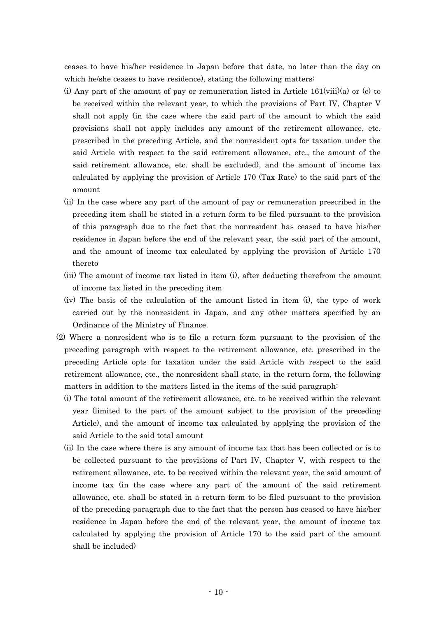ceases to have his/her residence in Japan before that date, no later than the day on which he/she ceases to have residence), stating the following matters:

- (i) Any part of the amount of pay or remuneration listed in Article  $161$ (viii)(a) or (c) to be received within the relevant year, to which the provisions of Part IV, Chapter V shall not apply (in the case where the said part of the amount to which the said provisions shall not apply includes any amount of the retirement allowance, etc. prescribed in the preceding Article, and the nonresident opts for taxation under the said Article with respect to the said retirement allowance, etc., the amount of the said retirement allowance, etc. shall be excluded), and the amount of income tax calculated by applying the provision of Article 170 (Tax Rate) to the said part of the amount
- (ii) In the case where any part of the amount of pay or remuneration prescribed in the preceding item shall be stated in a return form to be filed pursuant to the provision of this paragraph due to the fact that the nonresident has ceased to have his/her residence in Japan before the end of the relevant year, the said part of the amount, and the amount of income tax calculated by applying the provision of Article 170 thereto
- (iii) The amount of income tax listed in item (i), after deducting therefrom the amount of income tax listed in the preceding item
- (iv) The basis of the calculation of the amount listed in item (i), the type of work carried out by the nonresident in Japan, and any other matters specified by an Ordinance of the Ministry of Finance.
- (2) Where a nonresident who is to file a return form pursuant to the provision of the preceding paragraph with respect to the retirement allowance, etc. prescribed in the preceding Article opts for taxation under the said Article with respect to the said retirement allowance, etc., the nonresident shall state, in the return form, the following matters in addition to the matters listed in the items of the said paragraph:
	- (i) The total amount of the retirement allowance, etc. to be received within the relevant year (limited to the part of the amount subject to the provision of the preceding Article), and the amount of income tax calculated by applying the provision of the said Article to the said total amount
	- (ii) In the case where there is any amount of income tax that has been collected or is to be collected pursuant to the provisions of Part IV, Chapter V, with respect to the retirement allowance, etc. to be received within the relevant year, the said amount of income tax (in the case where any part of the amount of the said retirement allowance, etc. shall be stated in a return form to be filed pursuant to the provision of the preceding paragraph due to the fact that the person has ceased to have his/her residence in Japan before the end of the relevant year, the amount of income tax calculated by applying the provision of Article 170 to the said part of the amount shall be included)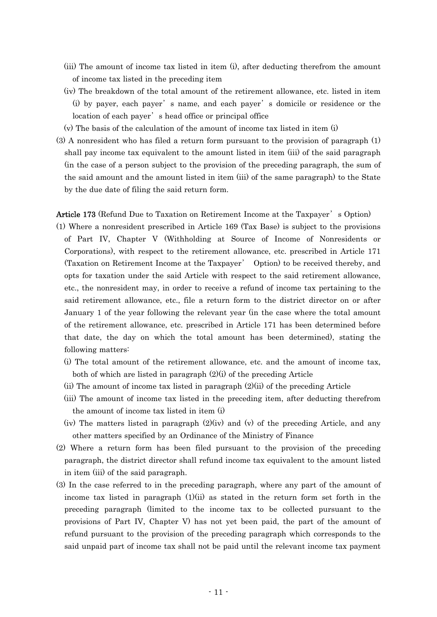- (iii) The amount of income tax listed in item (i), after deducting therefrom the amount of income tax listed in the preceding item
- (iv) The breakdown of the total amount of the retirement allowance, etc. listed in item (i) by payer, each payer' s name, and each payer' s domicile or residence or the location of each payer's head office or principal office
- (v) The basis of the calculation of the amount of income tax listed in item (i)
- (3) A nonresident who has filed a return form pursuant to the provision of paragraph (1) shall pay income tax equivalent to the amount listed in item (iii) of the said paragraph (in the case of a person subject to the provision of the preceding paragraph, the sum of the said amount and the amount listed in item (iii) of the same paragraph) to the State by the due date of filing the said return form.

Article 173 (Refund Due to Taxation on Retirement Income at the Taxpayer's Option)

- (1) Where a nonresident prescribed in Article 169 (Tax Base) is subject to the provisions of Part IV, Chapter V (Withholding at Source of Income of Nonresidents or Corporations), with respect to the retirement allowance, etc. prescribed in Article 171 (Taxation on Retirement Income at the Taxpayer' Option) to be received thereby, and opts for taxation under the said Article with respect to the said retirement allowance, etc., the nonresident may, in order to receive a refund of income tax pertaining to the said retirement allowance, etc., file a return form to the district director on or after January 1 of the year following the relevant year (in the case where the total amount of the retirement allowance, etc. prescribed in Article 171 has been determined before that date, the day on which the total amount has been determined), stating the following matters:
	- (i) The total amount of the retirement allowance, etc. and the amount of income tax, both of which are listed in paragraph  $(2)(i)$  of the preceding Article
	- (ii) The amount of income tax listed in paragraph (2)(ii) of the preceding Article
	- (iii) The amount of income tax listed in the preceding item, after deducting therefrom the amount of income tax listed in item (i)
	- (iv) The matters listed in paragraph (2)(iv) and (v) of the preceding Article, and any other matters specified by an Ordinance of the Ministry of Finance
- (2) Where a return form has been filed pursuant to the provision of the preceding paragraph, the district director shall refund income tax equivalent to the amount listed in item (iii) of the said paragraph.
- (3) In the case referred to in the preceding paragraph, where any part of the amount of income tax listed in paragraph  $(1)(ii)$  as stated in the return form set forth in the preceding paragraph (limited to the income tax to be collected pursuant to the provisions of Part IV, Chapter V) has not yet been paid, the part of the amount of refund pursuant to the provision of the preceding paragraph which corresponds to the said unpaid part of income tax shall not be paid until the relevant income tax payment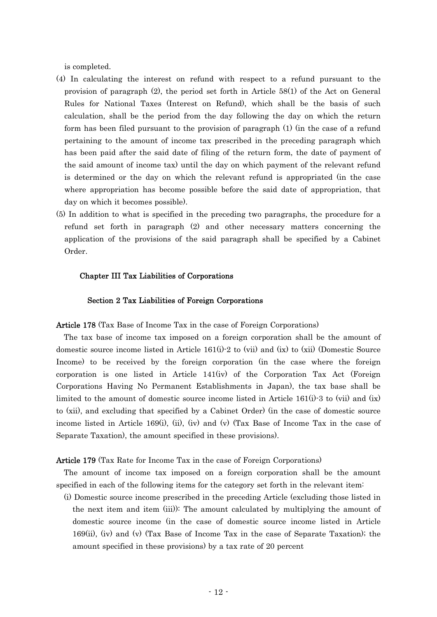is completed.

- (4) In calculating the interest on refund with respect to a refund pursuant to the provision of paragraph (2), the period set forth in Article 58(1) of the Act on General Rules for National Taxes (Interest on Refund), which shall be the basis of such calculation, shall be the period from the day following the day on which the return form has been filed pursuant to the provision of paragraph (1) (in the case of a refund pertaining to the amount of income tax prescribed in the preceding paragraph which has been paid after the said date of filing of the return form, the date of payment of the said amount of income tax) until the day on which payment of the relevant refund is determined or the day on which the relevant refund is appropriated (in the case where appropriation has become possible before the said date of appropriation, that day on which it becomes possible).
- (5) In addition to what is specified in the preceding two paragraphs, the procedure for a refund set forth in paragraph (2) and other necessary matters concerning the application of the provisions of the said paragraph shall be specified by a Cabinet Order.

# Chapter III Tax Liabilities of Corporations

## Section 2 Tax Liabilities of Foreign Corporations

Article 178 (Tax Base of Income Tax in the case of Foreign Corporations)

The tax base of income tax imposed on a foreign corporation shall be the amount of domestic source income listed in Article 161(i)-2 to (vii) and (ix) to (xii) (Domestic Source Income) to be received by the foreign corporation (in the case where the foreign corporation is one listed in Article 141(iv) of the Corporation Tax Act (Foreign Corporations Having No Permanent Establishments in Japan), the tax base shall be limited to the amount of domestic source income listed in Article 161(i)-3 to (vii) and (ix) to (xii), and excluding that specified by a Cabinet Order) (in the case of domestic source income listed in Article 169(i), (ii), (iv) and (v) (Tax Base of Income Tax in the case of Separate Taxation), the amount specified in these provisions).

## Article 179 (Tax Rate for Income Tax in the case of Foreign Corporations)

The amount of income tax imposed on a foreign corporation shall be the amount specified in each of the following items for the category set forth in the relevant item:

(i) Domestic source income prescribed in the preceding Article (excluding those listed in the next item and item (iii)): The amount calculated by multiplying the amount of domestic source income (in the case of domestic source income listed in Article 169(ii), (iv) and (v) (Tax Base of Income Tax in the case of Separate Taxation); the amount specified in these provisions) by a tax rate of 20 percent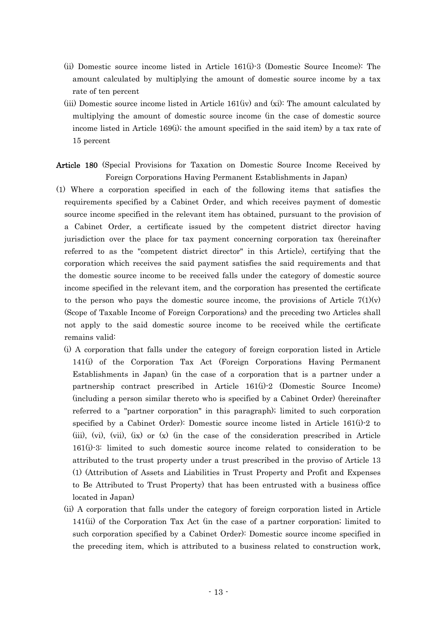- (ii) Domestic source income listed in Article 161(i)-3 (Domestic Source Income): The amount calculated by multiplying the amount of domestic source income by a tax rate of ten percent
- (iii) Domestic source income listed in Article 161(iv) and (xi): The amount calculated by multiplying the amount of domestic source income (in the case of domestic source income listed in Article 169(i); the amount specified in the said item) by a tax rate of 15 percent
- Article 180 (Special Provisions for Taxation on Domestic Source Income Received by Foreign Corporations Having Permanent Establishments in Japan)
- (1) Where a corporation specified in each of the following items that satisfies the requirements specified by a Cabinet Order, and which receives payment of domestic source income specified in the relevant item has obtained, pursuant to the provision of a Cabinet Order, a certificate issued by the competent district director having jurisdiction over the place for tax payment concerning corporation tax (hereinafter referred to as the "competent district director" in this Article), certifying that the corporation which receives the said payment satisfies the said requirements and that the domestic source income to be received falls under the category of domestic source income specified in the relevant item, and the corporation has presented the certificate to the person who pays the domestic source income, the provisions of Article  $7(1)(v)$ (Scope of Taxable Income of Foreign Corporations) and the preceding two Articles shall not apply to the said domestic source income to be received while the certificate remains valid:
	- (i) A corporation that falls under the category of foreign corporation listed in Article 141(i) of the Corporation Tax Act (Foreign Corporations Having Permanent Establishments in Japan) (in the case of a corporation that is a partner under a partnership contract prescribed in Article 161(i)-2 (Domestic Source Income) (including a person similar thereto who is specified by a Cabinet Order) (hereinafter referred to a "partner corporation" in this paragraph); limited to such corporation specified by a Cabinet Order): Domestic source income listed in Article 161(i)-2 to  $(iii)$ ,  $(vi)$ ,  $(vii)$ ,  $(ix)$  or  $(x)$  (in the case of the consideration prescribed in Article 161(i)-3: limited to such domestic source income related to consideration to be attributed to the trust property under a trust prescribed in the proviso of Article 13 (1) (Attribution of Assets and Liabilities in Trust Property and Profit and Expenses to Be Attributed to Trust Property) that has been entrusted with a business office located in Japan)
	- (ii) A corporation that falls under the category of foreign corporation listed in Article 141(ii) of the Corporation Tax Act (in the case of a partner corporation; limited to such corporation specified by a Cabinet Order): Domestic source income specified in the preceding item, which is attributed to a business related to construction work,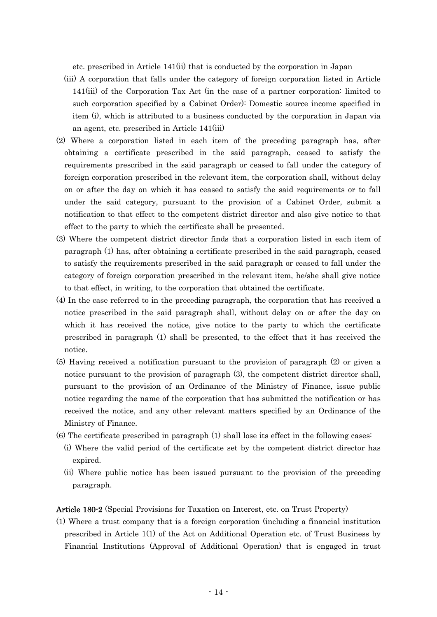etc. prescribed in Article 141(ii) that is conducted by the corporation in Japan

- (iii) A corporation that falls under the category of foreign corporation listed in Article 141(iii) of the Corporation Tax Act (in the case of a partner corporation: limited to such corporation specified by a Cabinet Order): Domestic source income specified in item (i), which is attributed to a business conducted by the corporation in Japan via an agent, etc. prescribed in Article 141(iii)
- (2) Where a corporation listed in each item of the preceding paragraph has, after obtaining a certificate prescribed in the said paragraph, ceased to satisfy the requirements prescribed in the said paragraph or ceased to fall under the category of foreign corporation prescribed in the relevant item, the corporation shall, without delay on or after the day on which it has ceased to satisfy the said requirements or to fall under the said category, pursuant to the provision of a Cabinet Order, submit a notification to that effect to the competent district director and also give notice to that effect to the party to which the certificate shall be presented.
- (3) Where the competent district director finds that a corporation listed in each item of paragraph (1) has, after obtaining a certificate prescribed in the said paragraph, ceased to satisfy the requirements prescribed in the said paragraph or ceased to fall under the category of foreign corporation prescribed in the relevant item, he/she shall give notice to that effect, in writing, to the corporation that obtained the certificate.
- (4) In the case referred to in the preceding paragraph, the corporation that has received a notice prescribed in the said paragraph shall, without delay on or after the day on which it has received the notice, give notice to the party to which the certificate prescribed in paragraph (1) shall be presented, to the effect that it has received the notice.
- (5) Having received a notification pursuant to the provision of paragraph (2) or given a notice pursuant to the provision of paragraph (3), the competent district director shall, pursuant to the provision of an Ordinance of the Ministry of Finance, issue public notice regarding the name of the corporation that has submitted the notification or has received the notice, and any other relevant matters specified by an Ordinance of the Ministry of Finance.
- (6) The certificate prescribed in paragraph (1) shall lose its effect in the following cases:
	- (i) Where the valid period of the certificate set by the competent district director has expired.
	- (ii) Where public notice has been issued pursuant to the provision of the preceding paragraph.

Article 180-2 (Special Provisions for Taxation on Interest, etc. on Trust Property)

(1) Where a trust company that is a foreign corporation (including a financial institution prescribed in Article 1(1) of the Act on Additional Operation etc. of Trust Business by Financial Institutions (Approval of Additional Operation) that is engaged in trust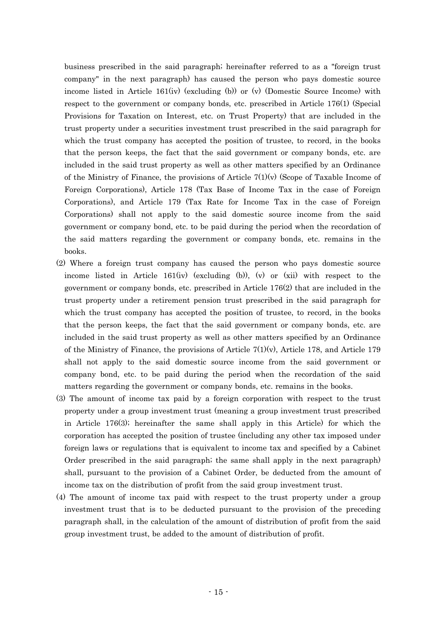business prescribed in the said paragraph; hereinafter referred to as a "foreign trust company" in the next paragraph) has caused the person who pays domestic source income listed in Article 161(iv) (excluding (b)) or (v) (Domestic Source Income) with respect to the government or company bonds, etc. prescribed in Article 176(1) (Special Provisions for Taxation on Interest, etc. on Trust Property) that are included in the trust property under a securities investment trust prescribed in the said paragraph for which the trust company has accepted the position of trustee, to record, in the books that the person keeps, the fact that the said government or company bonds, etc. are included in the said trust property as well as other matters specified by an Ordinance of the Ministry of Finance, the provisions of Article  $7(1)(v)$  (Scope of Taxable Income of Foreign Corporations), Article 178 (Tax Base of Income Tax in the case of Foreign Corporations), and Article 179 (Tax Rate for Income Tax in the case of Foreign Corporations) shall not apply to the said domestic source income from the said government or company bond, etc. to be paid during the period when the recordation of the said matters regarding the government or company bonds, etc. remains in the books.

- (2) Where a foreign trust company has caused the person who pays domestic source income listed in Article 161(iv) (excluding (b)), (v) or (xii) with respect to the government or company bonds, etc. prescribed in Article 176(2) that are included in the trust property under a retirement pension trust prescribed in the said paragraph for which the trust company has accepted the position of trustee, to record, in the books that the person keeps, the fact that the said government or company bonds, etc. are included in the said trust property as well as other matters specified by an Ordinance of the Ministry of Finance, the provisions of Article  $7(1)(v)$ , Article 178, and Article 179 shall not apply to the said domestic source income from the said government or company bond, etc. to be paid during the period when the recordation of the said matters regarding the government or company bonds, etc. remains in the books.
- (3) The amount of income tax paid by a foreign corporation with respect to the trust property under a group investment trust (meaning a group investment trust prescribed in Article 176(3); hereinafter the same shall apply in this Article) for which the corporation has accepted the position of trustee (including any other tax imposed under foreign laws or regulations that is equivalent to income tax and specified by a Cabinet Order prescribed in the said paragraph; the same shall apply in the next paragraph) shall, pursuant to the provision of a Cabinet Order, be deducted from the amount of income tax on the distribution of profit from the said group investment trust.
- (4) The amount of income tax paid with respect to the trust property under a group investment trust that is to be deducted pursuant to the provision of the preceding paragraph shall, in the calculation of the amount of distribution of profit from the said group investment trust, be added to the amount of distribution of profit.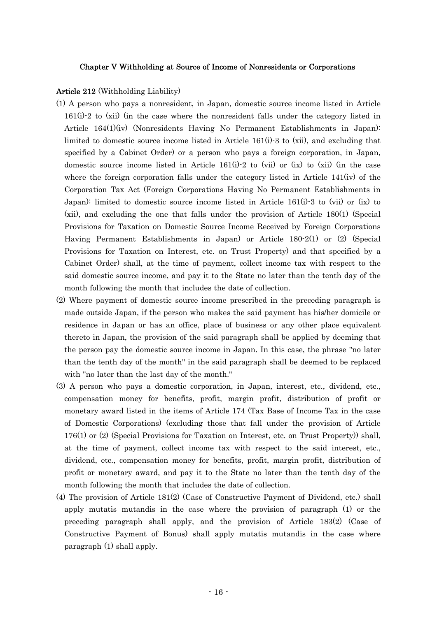## Chapter V Withholding at Source of Income of Nonresidents or Corporations

## Article 212 (Withholding Liability)

- (1) A person who pays a nonresident, in Japan, domestic source income listed in Article 161(i)-2 to (xii) (in the case where the nonresident falls under the category listed in Article 164(1)(iv) (Nonresidents Having No Permanent Establishments in Japan): limited to domestic source income listed in Article 161(i)-3 to (xii), and excluding that specified by a Cabinet Order) or a person who pays a foreign corporation, in Japan, domestic source income listed in Article  $161(i)-2$  to (vii) or (ix) to (xii) (in the case where the foreign corporation falls under the category listed in Article 141(iv) of the Corporation Tax Act (Foreign Corporations Having No Permanent Establishments in Japan): limited to domestic source income listed in Article 161(i)-3 to (vii) or (ix) to (xii), and excluding the one that falls under the provision of Article 180(1) (Special Provisions for Taxation on Domestic Source Income Received by Foreign Corporations Having Permanent Establishments in Japan) or Article 180-2(1) or (2) (Special Provisions for Taxation on Interest, etc. on Trust Property) and that specified by a Cabinet Order) shall, at the time of payment, collect income tax with respect to the said domestic source income, and pay it to the State no later than the tenth day of the month following the month that includes the date of collection.
- (2) Where payment of domestic source income prescribed in the preceding paragraph is made outside Japan, if the person who makes the said payment has his/her domicile or residence in Japan or has an office, place of business or any other place equivalent thereto in Japan, the provision of the said paragraph shall be applied by deeming that the person pay the domestic source income in Japan. In this case, the phrase "no later than the tenth day of the month" in the said paragraph shall be deemed to be replaced with "no later than the last day of the month."
- (3) A person who pays a domestic corporation, in Japan, interest, etc., dividend, etc., compensation money for benefits, profit, margin profit, distribution of profit or monetary award listed in the items of Article 174 (Tax Base of Income Tax in the case of Domestic Corporations) (excluding those that fall under the provision of Article 176(1) or (2) (Special Provisions for Taxation on Interest, etc. on Trust Property)) shall, at the time of payment, collect income tax with respect to the said interest, etc., dividend, etc., compensation money for benefits, profit, margin profit, distribution of profit or monetary award, and pay it to the State no later than the tenth day of the month following the month that includes the date of collection.
- (4) The provision of Article 181(2) (Case of Constructive Payment of Dividend, etc.) shall apply mutatis mutandis in the case where the provision of paragraph (1) or the preceding paragraph shall apply, and the provision of Article 183(2) (Case of Constructive Payment of Bonus) shall apply mutatis mutandis in the case where paragraph (1) shall apply.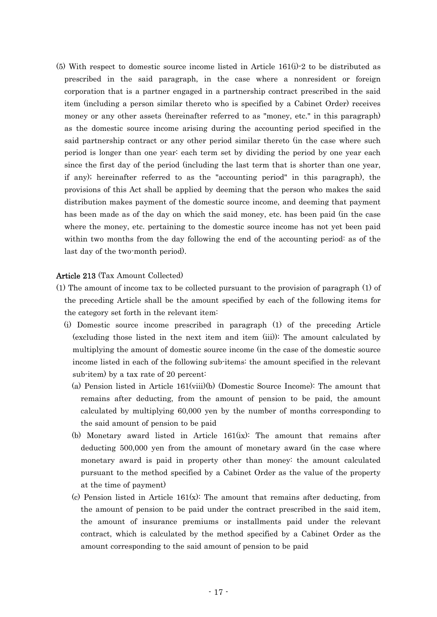(5) With respect to domestic source income listed in Article 161(i)-2 to be distributed as prescribed in the said paragraph, in the case where a nonresident or foreign corporation that is a partner engaged in a partnership contract prescribed in the said item (including a person similar thereto who is specified by a Cabinet Order) receives money or any other assets (hereinafter referred to as "money, etc." in this paragraph) as the domestic source income arising during the accounting period specified in the said partnership contract or any other period similar thereto (in the case where such period is longer than one year: each term set by dividing the period by one year each since the first day of the period (including the last term that is shorter than one year, if any); hereinafter referred to as the "accounting period" in this paragraph), the provisions of this Act shall be applied by deeming that the person who makes the said distribution makes payment of the domestic source income, and deeming that payment has been made as of the day on which the said money, etc. has been paid (in the case where the money, etc. pertaining to the domestic source income has not yet been paid within two months from the day following the end of the accounting period: as of the last day of the two-month period).

# Article 213 (Tax Amount Collected)

- (1) The amount of income tax to be collected pursuant to the provision of paragraph (1) of the preceding Article shall be the amount specified by each of the following items for the category set forth in the relevant item:
	- (i) Domestic source income prescribed in paragraph (1) of the preceding Article (excluding those listed in the next item and item (iii)): The amount calculated by multiplying the amount of domestic source income (in the case of the domestic source income listed in each of the following sub-items: the amount specified in the relevant sub-item) by a tax rate of 20 percent:
		- (a) Pension listed in Article 161(viii)(b) (Domestic Source Income): The amount that remains after deducting, from the amount of pension to be paid, the amount calculated by multiplying 60,000 yen by the number of months corresponding to the said amount of pension to be paid
		- (b) Monetary award listed in Article 161(ix): The amount that remains after deducting 500,000 yen from the amount of monetary award (in the case where monetary award is paid in property other than money: the amount calculated pursuant to the method specified by a Cabinet Order as the value of the property at the time of payment)
		- (c) Pension listed in Article  $161(x)$ : The amount that remains after deducting, from the amount of pension to be paid under the contract prescribed in the said item, the amount of insurance premiums or installments paid under the relevant contract, which is calculated by the method specified by a Cabinet Order as the amount corresponding to the said amount of pension to be paid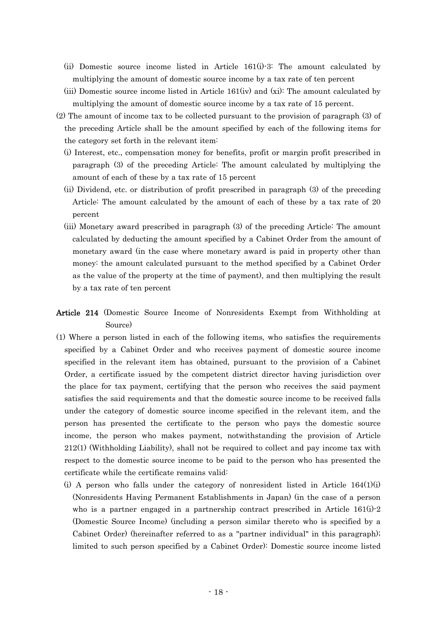- (ii) Domestic source income listed in Article 161(i)-3: The amount calculated by multiplying the amount of domestic source income by a tax rate of ten percent
- (iii) Domestic source income listed in Article 161(iv) and (xi): The amount calculated by multiplying the amount of domestic source income by a tax rate of 15 percent.
- (2) The amount of income tax to be collected pursuant to the provision of paragraph (3) of the preceding Article shall be the amount specified by each of the following items for the category set forth in the relevant item:
	- (i) Interest, etc., compensation money for benefits, profit or margin profit prescribed in paragraph (3) of the preceding Article: The amount calculated by multiplying the amount of each of these by a tax rate of 15 percent
	- (ii) Dividend, etc. or distribution of profit prescribed in paragraph (3) of the preceding Article: The amount calculated by the amount of each of these by a tax rate of 20 percent
	- (iii) Monetary award prescribed in paragraph (3) of the preceding Article: The amount calculated by deducting the amount specified by a Cabinet Order from the amount of monetary award (in the case where monetary award is paid in property other than money: the amount calculated pursuant to the method specified by a Cabinet Order as the value of the property at the time of payment), and then multiplying the result by a tax rate of ten percent
- Article 214 (Domestic Source Income of Nonresidents Exempt from Withholding at Source)
- (1) Where a person listed in each of the following items, who satisfies the requirements specified by a Cabinet Order and who receives payment of domestic source income specified in the relevant item has obtained, pursuant to the provision of a Cabinet Order, a certificate issued by the competent district director having jurisdiction over the place for tax payment, certifying that the person who receives the said payment satisfies the said requirements and that the domestic source income to be received falls under the category of domestic source income specified in the relevant item, and the person has presented the certificate to the person who pays the domestic source income, the person who makes payment, notwithstanding the provision of Article 212(1) (Withholding Liability), shall not be required to collect and pay income tax with respect to the domestic source income to be paid to the person who has presented the certificate while the certificate remains valid:
	- (i) A person who falls under the category of nonresident listed in Article  $164(1)(i)$ (Nonresidents Having Permanent Establishments in Japan) (in the case of a person who is a partner engaged in a partnership contract prescribed in Article  $161(i)-2$ (Domestic Source Income) (including a person similar thereto who is specified by a Cabinet Order) (hereinafter referred to as a "partner individual" in this paragraph); limited to such person specified by a Cabinet Order): Domestic source income listed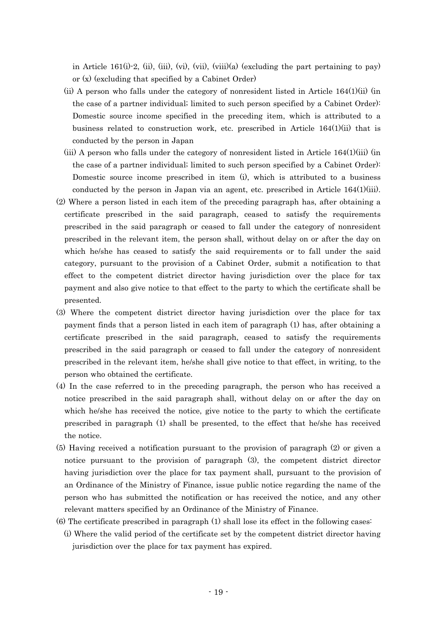in Article 161(i)-2, (ii), (iii), (vi), (viii)(a) (excluding the part pertaining to pay) or (x) (excluding that specified by a Cabinet Order)

- (ii) A person who falls under the category of nonresident listed in Article 164(1)(ii) (in the case of a partner individual; limited to such person specified by a Cabinet Order): Domestic source income specified in the preceding item, which is attributed to a business related to construction work, etc. prescribed in Article 164(1)(ii) that is conducted by the person in Japan
- (iii) A person who falls under the category of nonresident listed in Article 164(1)(iii) (in the case of a partner individual; limited to such person specified by a Cabinet Order): Domestic source income prescribed in item (i), which is attributed to a business conducted by the person in Japan via an agent, etc. prescribed in Article 164(1)(iii).
- (2) Where a person listed in each item of the preceding paragraph has, after obtaining a certificate prescribed in the said paragraph, ceased to satisfy the requirements prescribed in the said paragraph or ceased to fall under the category of nonresident prescribed in the relevant item, the person shall, without delay on or after the day on which he/she has ceased to satisfy the said requirements or to fall under the said category, pursuant to the provision of a Cabinet Order, submit a notification to that effect to the competent district director having jurisdiction over the place for tax payment and also give notice to that effect to the party to which the certificate shall be presented.
- (3) Where the competent district director having jurisdiction over the place for tax payment finds that a person listed in each item of paragraph (1) has, after obtaining a certificate prescribed in the said paragraph, ceased to satisfy the requirements prescribed in the said paragraph or ceased to fall under the category of nonresident prescribed in the relevant item, he/she shall give notice to that effect, in writing, to the person who obtained the certificate.
- (4) In the case referred to in the preceding paragraph, the person who has received a notice prescribed in the said paragraph shall, without delay on or after the day on which he/she has received the notice, give notice to the party to which the certificate prescribed in paragraph (1) shall be presented, to the effect that he/she has received the notice.
- (5) Having received a notification pursuant to the provision of paragraph (2) or given a notice pursuant to the provision of paragraph (3), the competent district director having jurisdiction over the place for tax payment shall, pursuant to the provision of an Ordinance of the Ministry of Finance, issue public notice regarding the name of the person who has submitted the notification or has received the notice, and any other relevant matters specified by an Ordinance of the Ministry of Finance.
- (6) The certificate prescribed in paragraph (1) shall lose its effect in the following cases:
	- (i) Where the valid period of the certificate set by the competent district director having jurisdiction over the place for tax payment has expired.